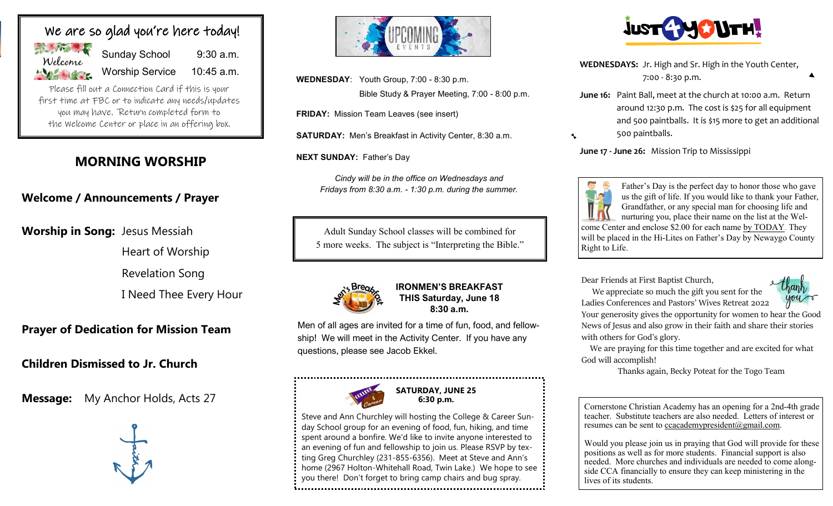

Sunday School 9:30 a.m. Worship Service 10:45 a.m.

Please fill out a Connection Card if this is your first time at FBC or to indicate any needs/updates you may have. Return completed form to the Welcome Center or place in an offering box.

## **MORNING WORSHIP**

## **Welcome / Announcements / Prayer**

**Worship in Song:** Jesus Messiah

Heart of Worship

Revelation Song

I Need Thee Every Hour

## **Prayer of Dedication for Mission Team**

## **Children Dismissed to Jr. Church**

**Message:** My Anchor Holds, Acts 27





**WEDNESDAY**: Youth Group, 7:00 - 8:30 p.m. Bible Study & Prayer Meeting, 7:00 - 8:00 p.m.

**FRIDAY:** Mission Team Leaves (see insert)

**SATURDAY:** Men's Breakfast in Activity Center, 8:30 a.m.

**NEXT SUNDAY:** Father's Day

*Cindy will be in the office on Wednesdays and Fridays from 8:30 a.m. - 1:30 p.m. during the summer.*

Adult Sunday School classes will be combined for 5 more weeks. The subject is "Interpreting the Bible."



#### **IRONMEN'S BREAKFAST THIS Saturday, June 18 8:30 a.m.**

Men of all ages are invited for a time of fun, food, and fellowship! We will meet in the Activity Center. If you have any questions, please see Jacob Ekkel.



**SATURDAY, JUNE 25 6:30 p.m.**

Steve and Ann Churchley will hosting the College & Career Sunday School group for an evening of food, fun, hiking, and time spent around a bonfire. We'd like to invite anyone interested to an evening of fun and fellowship to join us. Please RSVP by texting Greg Churchley (231-855-6356). Meet at Steve and Ann's home (2967 Holton-Whitehall Road, Twin Lake.) We hope to see you there! Don't forget to bring camp chairs and bug spray. 



**WEDNESDAYS:** Jr. High and Sr. High in the Youth Center, 7:00 - 8:30 p.m.

**June 16:** Paint Ball, meet at the church at 10:00 a.m. Return around 12:30 p.m. The cost is \$25 for all equipment and 500 paintballs. It is \$15 more to get an additional 500 paintballs.

**June 17 - June 26:** Mission Trip to Mississippi



 $\ddot{\phantom{0}}$ 

Father's Day is the perfect day to honor those who gave us the gift of life. If you would like to thank your Father, Grandfather, or any special man for choosing life and nurturing you, place their name on the list at the Welcome Center and enclose \$2.00 for each name by TODAY. They will be placed in the Hi-Lites on Father's Day by Newaygo County Right to Life.

Dear Friends at First Baptist Church,

 We appreciate so much the gift you sent for the Ladies Conferences and Pastors' Wives Retreat 2022.



Your generosity gives the opportunity for women to hear the Good News of Jesus and also grow in their faith and share their stories with others for God's glory.

 We are praying for this time together and are excited for what God will accomplish!

Thanks again, Becky Poteat for the Togo Team

Cornerstone Christian Academy has an opening for a 2nd-4th grade teacher. Substitute teachers are also needed. Letters of interest or resumes can be sent to ccacademypresident@gmail.com.

Would you please join us in praying that God will provide for these positions as well as for more students. Financial support is also needed. More churches and individuals are needed to come alongside CCA financially to ensure they can keep ministering in the lives of its students.